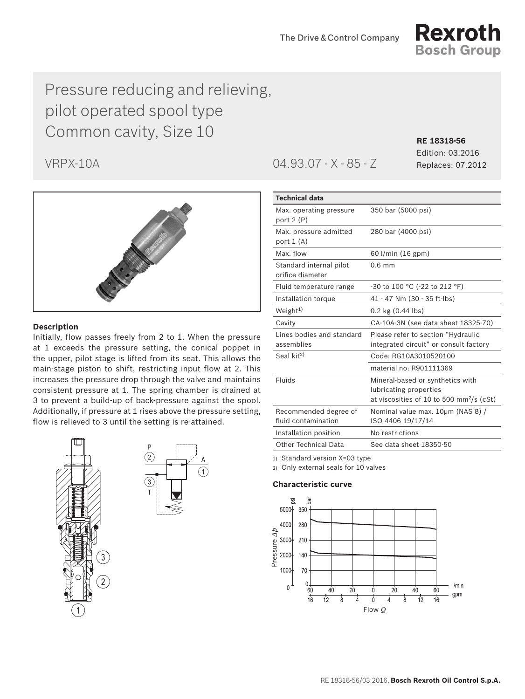

# Pressure reducing and relieving, pilot operated spool type Common cavity, Size 10 **RE 18318-56**



## **Description**

Initially, flow passes freely from 2 to 1. When the pressure at 1 exceeds the pressure setting, the conical poppet in the upper, pilot stage is lifted from its seat. This allows the main-stage piston to shift, restricting input flow at 2. This increases the pressure drop through the valve and maintains consistent pressure at 1. The spring chamber is drained at 3 to prevent a build-up of back-pressure against the spool. Additionally, if pressure at 1 rises above the pressure setting, flow is relieved to 3 until the setting is re-attained.





VRPX-10A 04.93.07 - X - 85 - Z Replaces: 07.2012

Edition: 03.2016

| <b>Technical data</b>                       |                                                                                |  |
|---------------------------------------------|--------------------------------------------------------------------------------|--|
| Max. operating pressure<br>port 2 (P)       | 350 bar (5000 psi)                                                             |  |
| Max. pressure admitted<br>port 1 (A)        | 280 bar (4000 psi)                                                             |  |
| Max. flow                                   | 60 l/min (16 gpm)                                                              |  |
| Standard internal pilot<br>orifice diameter | $0.6$ mm                                                                       |  |
| Fluid temperature range                     | -30 to 100 °C (-22 to 212 °F)                                                  |  |
| Installation torque                         | 41 - 47 Nm (30 - 35 ft-lbs)                                                    |  |
| Weight <sup>1)</sup>                        | $0.2$ kg $(0.44$ lbs)                                                          |  |
| Cavity                                      | CA-10A-3N (see data sheet 18325-70)                                            |  |
| Lines bodies and standard                   | Please refer to section "Hydraulic                                             |  |
| assemblies                                  | integrated circuit" or consult factory                                         |  |
| Seal kit <sup>2)</sup>                      | Code: RG10A3010520100                                                          |  |
|                                             | material no: R901111369                                                        |  |
| Fluids                                      | Mineral-based or synthetics with                                               |  |
|                                             | lubricating properties<br>at viscosities of 10 to 500 mm <sup>2</sup> /s (cSt) |  |
| Recommended degree of                       | Nominal value max. 10um (NAS 8) /                                              |  |
| fluid contamination                         | ISO 4406 19/17/14                                                              |  |
| Installation position                       | No restrictions                                                                |  |
| Other Technical Data                        | See data sheet 18350-50                                                        |  |

1) Standard version X=03 type

2) Only external seals for 10 valves

### **Characteristic curve**